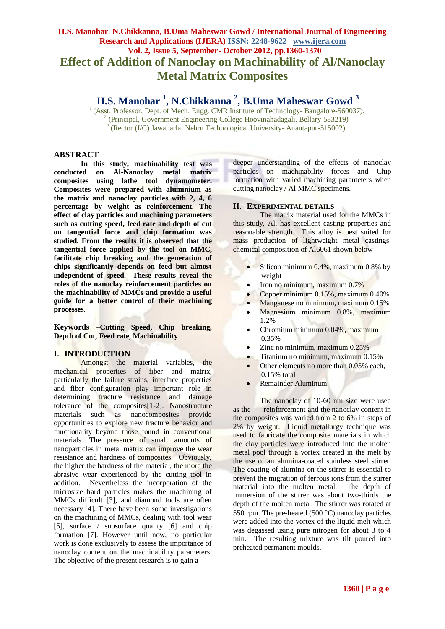## **H.S. Manohar**, **N.Chikkanna**, **B.Uma Maheswar Gowd / International Journal of Engineering Research and Applications (IJERA) ISSN: 2248-9622 www.ijera.com Vol. 2, Issue 5, September- October 2012, pp.1360-1370 Effect of Addition of Nanoclay on Machinability of Al/Nanoclay Metal Matrix Composites**

# **H.S. Manohar <sup>1</sup> , N.Chikkanna <sup>2</sup> , B.Uma Maheswar Gowd <sup>3</sup>**

<sup>1</sup> (Asst. Professor, Dept. of Mech. Engg. CMR Institute of Technology- Bangalore-560037). 2 (Principal, Government Engineering College Hoovinahadagali, Bellary-583219) <sup>3</sup> (Rector (I/C) Jawaharlal Nehru Technological University-Anantapur-515002).

### **ABSTRACT**

**In this study, machinability test was conducted on Al-Nanoclay metal matrix composites using lathe tool dynamometer. Composites were prepared with aluminium as the matrix and nanoclay particles with 2, 4, 6 percentage by weight as reinforcement. The effect of clay particles and machining parameters**  such as cutting speed, feed rate and depth of cut **on tangential force and chip formation was studied. From the results it is observed that the tangential force applied by the tool on MMC, facilitate chip breaking and the generation of chips significantly depends on feed but almost independent of speed. These results reveal the roles of the nanoclay reinforcement particles on the machinability of MMCs and provide a useful guide for a better control of their machining processes**.

**Keywords –Cutting Speed, Chip breaking, Depth of Cut, Feed rate, Machinability**

#### **I. INTRODUCTION**

Amongst the material variables, the mechanical properties of fiber and matrix, particularly the failure strains, interface properties and fiber configuration play important role in determining fracture resistance and damage tolerance of the composites[1-2]. Nanostructure materials such as nanocomposites provide opportunities to explore new fracture behavior and functionality beyond those found in conventional materials. The presence of small amounts of nanoparticles in metal matrix can improve the wear resistance and hardness of composites. Obviously, the higher the hardness of the material, the more the abrasive wear experienced by the cutting tool in addition. Nevertheless the incorporation of the microsize hard particles makes the machining of MMCs difficult [3], and diamond tools are often necessary [4]. There have been some investigations on the machining of MMCs, dealing with tool wear [5], surface / subsurface quality [6] and chip formation [7]. However until now, no particular work is done exclusively to assess the importance of nanoclay content on the machinability parameters. The objective of the present research is to gain a

deeper understanding of the effects of nanoclay particles on machinability forces and Chip formation with varied machining parameters when cutting nanoclay / Al MMC specimens.

#### **II. EXPERIMENTAL DETAILS**

The matrix material used for the MMCs in this study, Al, has excellent casting properties and reasonable strength. This alloy is best suited for mass production of lightweight metal castings. chemical composition of Al6061 shown below

- Silicon minimum 0.4%, maximum 0.8% by weight
- Iron no minimum, maximum 0.7%
- Copper minimum 0.15%, maximum 0.40%
- Manganese no minimum, maximum 0.15%
- Magnesium minimum 0.8%, maximum 1.2%
- Chromium minimum 0.04%, maximum 0.35%
- Zinc no minimum, maximum 0.25%
- **•** Titanium no minimum, maximum 0.15%
- Other elements no more than 0.05% each, 0.15% total
- Remainder Aluminum

The nanoclay of 10-60 nm size were used as the reinforcement and the nanoclay content in the composites was varied from 2 to 6% in steps of 2% by weight. Liquid metallurgy technique was used to fabricate the composite materials in which the clay particles were introduced into the molten metal pool through a vortex created in the melt by the use of an alumina-coated stainless steel stirrer. The coating of alumina on the stirrer is essential to prevent the migration of ferrous ions from the stirrer material into the molten metal. The depth of immersion of the stirrer was about two-thirds the depth of the molten metal. The stirrer was rotated at 550 rpm. The pre-heated (500  $^{\circ}$ C) nanoclay particles were added into the vortex of the liquid melt which was degassed using pure nitrogen for about 3 to 4 min. The resulting mixture was tilt poured into preheated permanent moulds.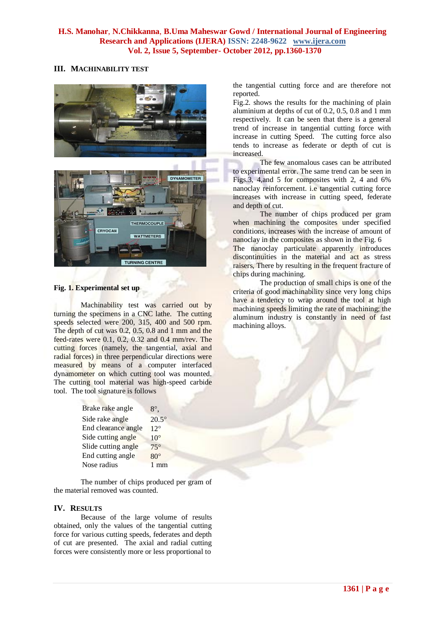## **III. MACHINABILITY TEST**



#### **Fig. 1. Experimental set up**

Machinability test was carried out by turning the specimens in a CNC lathe. The cutting speeds selected were 200, 315, 400 and 500 rpm. The depth of cut was 0.2, 0.5, 0.8 and 1 mm and the feed-rates were 0.1, 0.2, 0.32 and 0.4 mm/rev. The cutting forces (namely, the tangential, axial and radial forces) in three perpendicular directions were measured by means of a computer interfaced dynamometer on which cutting tool was mounted. The cutting tool material was high-speed carbide tool. The tool signature is follows

| Brake rake angle    | $8^\circ$      |
|---------------------|----------------|
| Side rake angle     | $20.5^\circ$   |
| End clearance angle | $12^{\circ}$   |
| Side cutting angle  | $10^{\circ}$   |
| Slide cutting angle | $75^\circ$     |
| End cutting angle   | $80^\circ$     |
| Nose radius         | $1 \text{ mm}$ |

The number of chips produced per gram of the material removed was counted.

## **IV. RESULTS**

Because of the large volume of results obtained, only the values of the tangential cutting force for various cutting speeds, federates and depth of cut are presented. The axial and radial cutting forces were consistently more or less proportional to

the tangential cutting force and are therefore not reported.

Fig.2. shows the results for the machining of plain aluminium at depths of cut of  $0.2$ ,  $0.5$ ,  $0.8$  and  $1$  mm respectively. It can be seen that there is a general trend of increase in tangential cutting force with increase in cutting Speed. The cutting force also tends to increase as federate or depth of cut is increased.

The few anomalous cases can be attributed to experimental error. The same trend can be seen in Figs.3, 4,and 5 for composites with 2, 4 and 6% nanoclay reinforcement. i.e tangential cutting force increases with increase in cutting speed, federate and depth of cut.

The number of chips produced per gram when machining the composites under specified conditions, increases with the increase of amount of nanoclay in the composites as shown in the Fig. 6 The nanoclay particulate apparently introduces discontinuities in the material and act as stress raisers, There by resulting in the frequent fracture of chips during machining.

The production of small chips is one of the criteria of good machinability since very long chips have a tendency to wrap around the tool at high machining speeds limiting the rate of machining; the aluminum industry is constantly in need of fast machining alloys.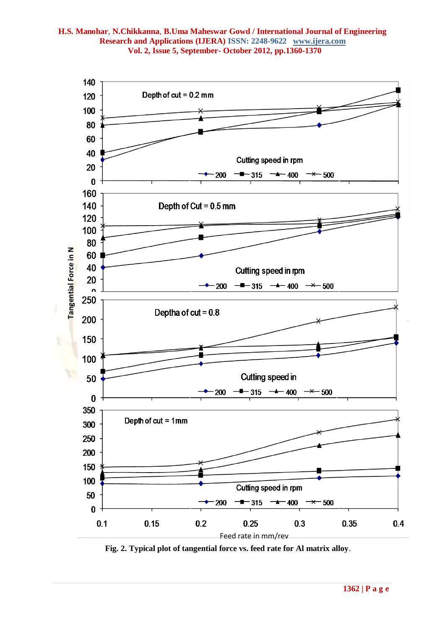

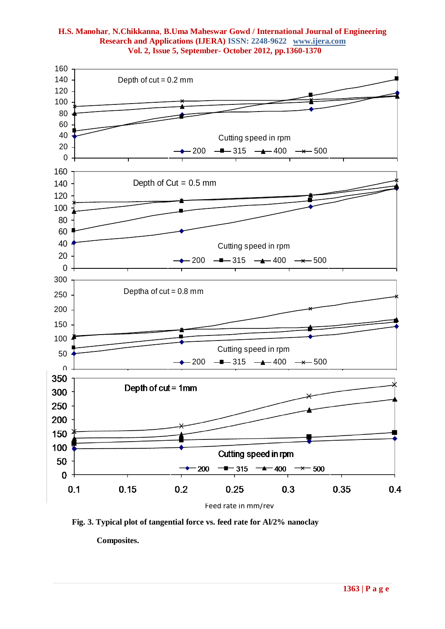

**Fig. 3. Typical plot of tangential force vs. feed rate for Al/2% nanoclay**

 **Composites.**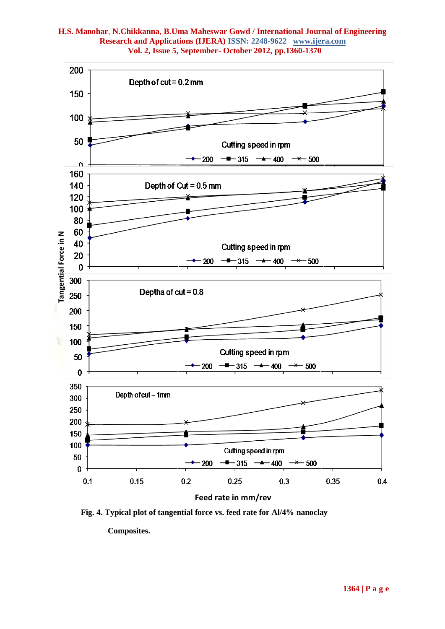

**Fig. 4. Typical plot of tangential force vs. feed rate for Al/4% nanoclay**

 **Composites.**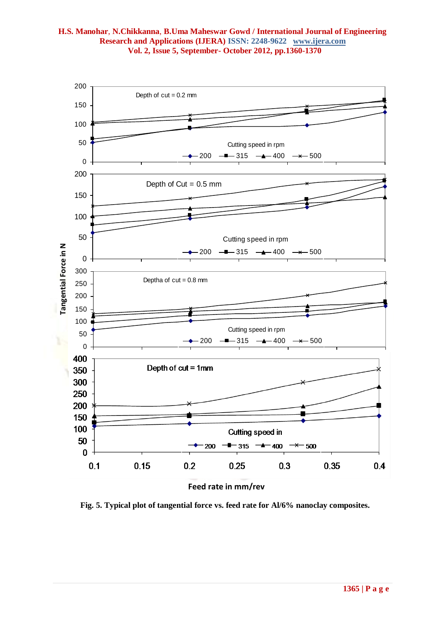

**Feed rate in mm/rev**

**Fig. 5. Typical plot of tangential force vs. feed rate for Al/6% nanoclay composites.**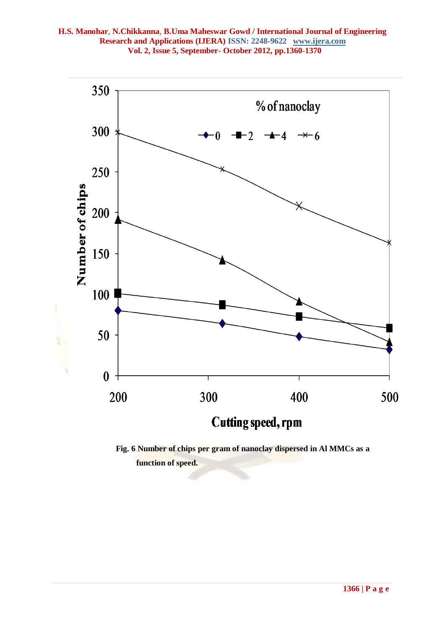

 **Fig. 6 Number of chips per gram of nanoclay dispersed in Al MMCs as a function of speed.**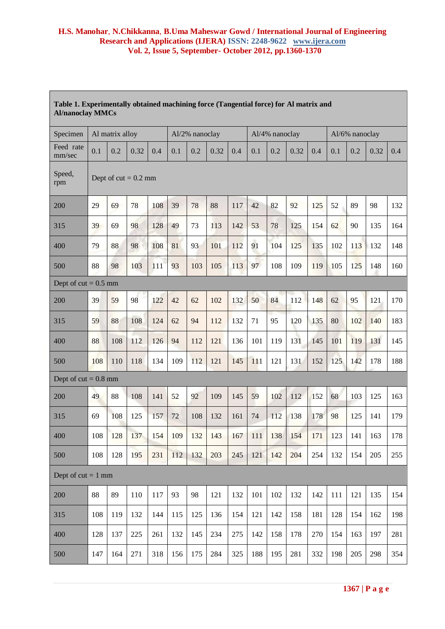| Table 1. Experimentally obtained machining force (Tangential force) for Al matrix and<br><b>Al/nanoclay MMCs</b> |                        |     |      |     |                |     |      |     |                |     |      |     |                |     |      |     |
|------------------------------------------------------------------------------------------------------------------|------------------------|-----|------|-----|----------------|-----|------|-----|----------------|-----|------|-----|----------------|-----|------|-----|
| Specimen                                                                                                         | Al matrix alloy        |     |      |     | Al/2% nanoclay |     |      |     | Al/4% nanoclay |     |      |     | Al/6% nanoclay |     |      |     |
| Feed rate<br>mm/sec                                                                                              | 0.1                    | 0.2 | 0.32 | 0.4 | 0.1            | 0.2 | 0.32 | 0.4 | 0.1            | 0.2 | 0.32 | 0.4 | 0.1            | 0.2 | 0.32 | 0.4 |
| Speed,<br>rpm                                                                                                    | Dept of $cut = 0.2$ mm |     |      |     |                |     |      |     |                |     |      |     |                |     |      |     |
| 200                                                                                                              | 29                     | 69  | 78   | 108 | 39             | 78  | 88   | 117 | 42             | 82  | 92   | 125 | 52             | 89  | 98   | 132 |
| 315                                                                                                              | 39                     | 69  | 98   | 128 | 49             | 73  | 113  | 142 | 53             | 78  | 125  | 154 | 62             | 90  | 135  | 164 |
| 400                                                                                                              | 79                     | 88  | 98   | 108 | 81             | 93  | 101  | 112 | 91             | 104 | 125  | 135 | 102            | 113 | 132  | 148 |
| 500                                                                                                              | 88                     | 98  | 103  | 111 | 93             | 103 | 105  | 113 | 97             | 108 | 109  | 119 | 105            | 125 | 148  | 160 |
| Dept of cut = $0.5$ mm                                                                                           |                        |     |      |     |                |     |      |     |                |     |      |     |                |     |      |     |
| 200                                                                                                              | 39                     | 59  | 98   | 122 | 42             | 62  | 102  | 132 | 50             | 84  | 112  | 148 | 62             | 95  | 121  | 170 |
| 315                                                                                                              | 59                     | 88  | 108  | 124 | 62             | 94  | 112  | 132 | 71             | 95  | 120  | 135 | 80             | 102 | 140  | 183 |
| 400                                                                                                              | 88                     | 108 | 112  | 126 | 94             | 112 | 121  | 136 | 101            | 119 | 131  | 145 | 101            | 119 | 131  | 145 |
| 500                                                                                                              | 108                    | 110 | 118  | 134 | 109            | 112 | 121  | 145 | 111            | 121 | 131  | 152 | 125            | 142 | 178  | 188 |
| Dept of $cut = 0.8$ mm                                                                                           |                        |     |      |     |                |     |      |     |                |     |      |     |                |     |      |     |
| 200                                                                                                              | 49                     | 88  | 108  | 141 | 52             | 92  | 109  | 145 | 59             | 102 | 112  | 152 | 68             | 103 | 125  | 163 |
| 315                                                                                                              | 69                     | 108 | 125  | 157 | 72             | 108 | 132  | 161 | 74             | 112 | 138  | 178 | 98             | 125 | 141  | 179 |
| 400                                                                                                              | 108                    | 128 | 137  | 154 | 109            | 132 | 143  | 167 | 111            | 138 | 154  | 171 | 123            | 141 | 163  | 178 |
| 500                                                                                                              | 108                    | 128 | 195  | 231 | 112            | 132 | 203  | 245 | 121            | 142 | 204  | 254 | 132            | 154 | 205  | 255 |
| Dept of $cut = 1$ mm                                                                                             |                        |     |      |     |                |     |      |     |                |     |      |     |                |     |      |     |
| 200                                                                                                              | 88                     | 89  | 110  | 117 | 93             | 98  | 121  | 132 | 101            | 102 | 132  | 142 | 111            | 121 | 135  | 154 |
| 315                                                                                                              | 108                    | 119 | 132  | 144 | 115            | 125 | 136  | 154 | 121            | 142 | 158  | 181 | 128            | 154 | 162  | 198 |
| 400                                                                                                              | 128                    | 137 | 225  | 261 | 132            | 145 | 234  | 275 | 142            | 158 | 178  | 270 | 154            | 163 | 197  | 281 |
| 500                                                                                                              | 147                    | 164 | 271  | 318 | 156            | 175 | 284  | 325 | 188            | 195 | 281  | 332 | 198            | 205 | 298  | 354 |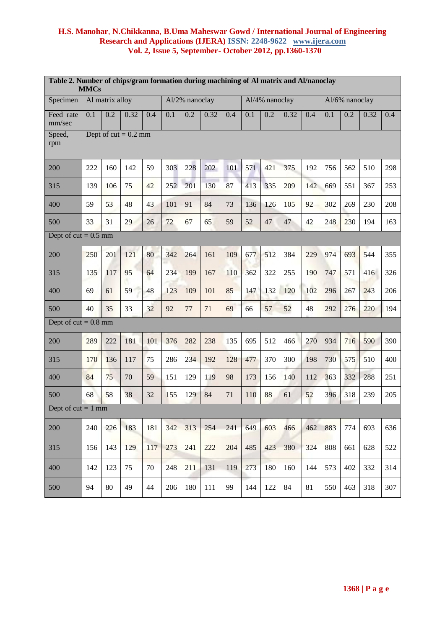| Table 2. Number of chips/gram formation during machining of Al matrix and Al/nanoclay<br><b>MMCs</b> |                        |     |      |     |                |     |      |     |     |                |      |     |                |     |      |     |
|------------------------------------------------------------------------------------------------------|------------------------|-----|------|-----|----------------|-----|------|-----|-----|----------------|------|-----|----------------|-----|------|-----|
| Specimen                                                                                             | Al matrix alloy        |     |      |     | Al/2% nanoclay |     |      |     |     | Al/4% nanoclay |      |     | Al/6% nanoclay |     |      |     |
| Feed rate<br>mm/sec                                                                                  | 0.1                    | 0.2 | 0.32 | 0.4 | 0.1            | 0.2 | 0.32 | 0.4 | 0.1 | 0.2            | 0.32 | 0.4 | 0.1            | 0.2 | 0.32 | 0.4 |
| Speed,<br>rpm                                                                                        | Dept of $cut = 0.2$ mm |     |      |     |                |     |      |     |     |                |      |     |                |     |      |     |
| 200                                                                                                  | 222                    | 160 | 142  | 59  | 303            | 228 | 202  | 101 | 571 | 421            | 375  | 192 | 756            | 562 | 510  | 298 |
| 315                                                                                                  | 139                    | 106 | 75   | 42  | 252            | 201 | 130  | 87  | 413 | 335            | 209  | 142 | 669            | 551 | 367  | 253 |
| 400                                                                                                  | 59                     | 53  | 48   | 43  | 101            | 91  | 84   | 73  | 136 | 126            | 105  | 92  | 302            | 269 | 230  | 208 |
| 500                                                                                                  | 33                     | 31  | 29   | 26  | 72             | 67  | 65   | 59  | 52  | 47             | 47   | 42  | 248            | 230 | 194  | 163 |
| Dept of $cut = 0.5$ mm                                                                               |                        |     |      |     |                |     |      |     |     |                |      |     |                |     |      |     |
| 200                                                                                                  | 250                    | 201 | 121  | 80  | 342            | 264 | 161  | 109 | 677 | 512            | 384  | 229 | 974            | 693 | 544  | 355 |
| 315                                                                                                  | 135                    | 117 | 95   | 64  | 234            | 199 | 167  | 110 | 362 | 322            | 255  | 190 | 747            | 571 | 416  | 326 |
| 400                                                                                                  | 69                     | 61  | 59   | 48  | 123            | 109 | 101  | 85  | 147 | 132            | 120  | 102 | 296            | 267 | 243  | 206 |
| 500                                                                                                  | 40                     | 35  | 33   | 32  | 92             | 77  | 71   | 69  | 66  | 57             | 52   | 48  | 292            | 276 | 220  | 194 |
| Dept of $cut = 0.8$ mm                                                                               |                        |     |      |     |                |     |      |     |     |                |      |     |                |     |      |     |
| 200                                                                                                  | 289                    | 222 | 181  | 101 | 376            | 282 | 238  | 135 | 695 | 512            | 466  | 270 | 934            | 716 | 590  | 390 |
| 315                                                                                                  | 170                    | 136 | 117  | 75  | 286            | 234 | 192  | 128 | 477 | 370            | 300  | 198 | 730            | 575 | 510  | 400 |
| 400                                                                                                  | 84                     | 75  | 70   | 59  | 151            | 129 | 119  | 98  | 173 | 156            | 140  | 112 | 363            | 332 | 288  | 251 |
| 500                                                                                                  | 68                     | 58  | 38   | 32  | 155            | 129 | 84   | 71  | 110 | 88             | 61   | 52  | 396            | 318 | 239  | 205 |
| Dept of $cut = 1$ mm                                                                                 |                        |     |      |     |                |     |      |     |     |                |      |     |                |     |      |     |
| 200                                                                                                  | 240                    | 226 | 183  | 181 | 342            | 313 | 254  | 241 | 649 | 603            | 466  | 462 | 883            | 774 | 693  | 636 |
| 315                                                                                                  | 156                    | 143 | 129  | 117 | 273            | 241 | 222  | 204 | 485 | 423            | 380  | 324 | 808            | 661 | 628  | 522 |
| 400                                                                                                  | 142                    | 123 | 75   | 70  | 248            | 211 | 131  | 119 | 273 | 180            | 160  | 144 | 573            | 402 | 332  | 314 |
| 500                                                                                                  | 94                     | 80  | 49   | 44  | 206            | 180 | 111  | 99  | 144 | 122            | 84   | 81  | 550            | 463 | 318  | 307 |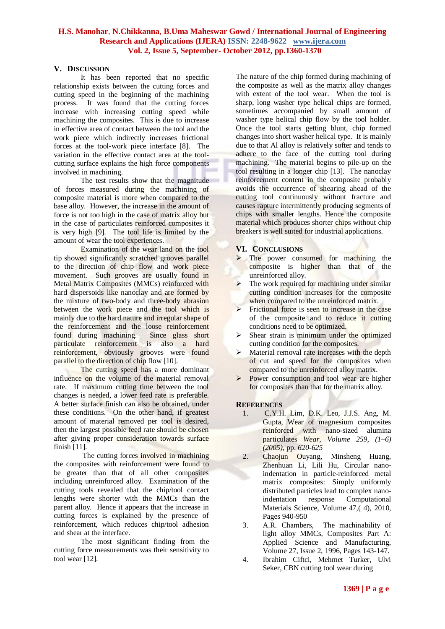### **V. DISCUSSION**

It has been reported that no specific relationship exists between the cutting forces and cutting speed in the beginning of the machining process. It was found that the cutting forces increase with increasing cutting speed while machining the composites. This is due to increase in effective area of contact between the tool and the work piece which indirectly increases frictional forces at the tool-work piece interface [8]. The variation in the effective contact area at the toolcutting surface explains the high force components involved in machining.

The test results show that the magnitude of forces measured during the machining of composite material is more when compared to the base alloy. However, the increase in the amount of force is not too high in the case of matrix alloy but in the case of particulates reinforced composites it is very high [9]. The tool life is limited by the amount of wear the tool experiences.

Examination of the wear land on the tool tip showed significantly scratched grooves parallel to the direction of chip flow and work piece movement. Such grooves are usually found in Metal Matrix Composites (MMCs) reinforced with hard dispersoids like nanoclay and are formed by the mixture of two-body and three-body abrasion between the work piece and the tool which is mainly due to the hard nature and irregular shape of the reinforcement and the loose reinforcement found during machining. Since glass short particulate reinforcement is also a hard reinforcement, obviously grooves were found parallel to the direction of chip flow [10].

The cutting speed has a more dominant influence on the volume of the material removal rate. If maximum cutting time between the tool changes is needed, a lower feed rate is preferable. A better surface finish can also be obtained, under these conditions. On the other hand, if greatest amount of material removed per tool is desired, then the largest possible feed rate should be chosen after giving proper consideration towards surface finish [11].

The cutting forces involved in machining the composites with reinforcement were found to be greater than that of all other composites including unreinforced alloy. Examination of the cutting tools revealed that the chip/tool contact lengths were shorter with the MMCs than the parent alloy. Hence it appears that the increase in cutting forces is explained by the presence of reinforcement, which reduces chip/tool adhesion and shear at the interface.

The most significant finding from the cutting force measurements was their sensitivity to tool wear [12].

The nature of the chip formed during machining of the composite as well as the matrix alloy changes with extent of the tool wear. When the tool is sharp, long washer type helical chips are formed, sometimes accompanied by small amount of washer type helical chip flow by the tool holder. Once the tool starts getting blunt, chip formed changes into short washer helical type. It is mainly due to that Al alloy is relatively softer and tends to adhere to the face of the cutting tool during machining. The material begins to pile-up on the tool resulting in a longer chip [13]. The nanoclay reinforcement content in the composite probably avoids the occurrence of shearing ahead of the cutting tool continuously without fracture and causes rapture intermittently producing segments of chips with smaller lengths. Hence the composite material which produces shorter chips without chip breakers is well suited for industrial applications.

#### **VI. CONCLUSIONS**

- The power consumed for machining the composite is higher than that of the unreinforced alloy.
- $\triangleright$  The work required for machining under similar cutting condition increases for the composite when compared to the unreinforced matrix.
- Frictional force is seen to increase in the case of the composite and to reduce it cutting conditions need to be optimized.
- $\triangleright$  Shear strain is minimum under the optimized cutting condition for the composites.
- $\triangleright$  Material removal rate increases with the depth of cut and speed for the composites when compared to the unreinforced alloy matrix.
- $\triangleright$  Power consumption and tool wear are higher for composites than that for the matrix alloy.

#### **REFERENCES**

- 1. C.Y.H. Lim, D.K. Leo, J.J.S. Ang, M. Gupta, Wear of magnesium composites reinforced with nano-sized alumina particulates *Wear*, *Volume 259, (1–6) (2005)*, pp. *620-625*
- 2. Chaojun Ouyang, Minsheng Huang, Zhenhuan Li, Lili Hu, Circular nanoindentation in particle-reinforced metal matrix composites: Simply uniformly distributed particles lead to complex nanoindentation response Computational Materials Science, Volume 47,( 4), 2010, Pages 940-950
- 3. A.R. Chambers, The machinability of light alloy MMCs, Composites Part A: Applied Science and Manufacturing, Volume 27, Issue 2, 1996, Pages 143-147.
- 4. Ibrahim Ciftci, Mehmet Turker, Ulvi Seker, CBN cutting tool wear during